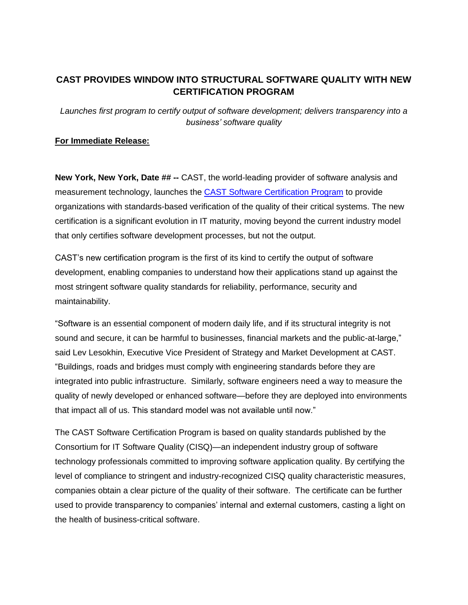## **CAST PROVIDES WINDOW INTO STRUCTURAL SOFTWARE QUALITY WITH NEW CERTIFICATION PROGRAM**

*Launches first program to certify output of software development; delivers transparency into a business' software quality* 

## **For Immediate Release:**

**New York, New York, Date ## --** CAST, the world-leading provider of software analysis and measurement technology, launches the CAST [Software Certification Program](http://www.castsoftware.com/solutions/software-certification) to provide organizations with standards-based verification of the quality of their critical systems. The new certification is a significant evolution in IT maturity, moving beyond the current industry model that only certifies software development processes, but not the output.

CAST's new certification program is the first of its kind to certify the output of software development, enabling companies to understand how their applications stand up against the most stringent software quality standards for reliability, performance, security and maintainability.

"Software is an essential component of modern daily life, and if its structural integrity is not sound and secure, it can be harmful to businesses, financial markets and the public-at-large," said Lev Lesokhin, Executive Vice President of Strategy and Market Development at CAST. "Buildings, roads and bridges must comply with engineering standards before they are integrated into public infrastructure. Similarly, software engineers need a way to measure the quality of newly developed or enhanced software—before they are deployed into environments that impact all of us. This standard model was not available until now."

The CAST Software Certification Program is based on quality standards published by the Consortium for IT Software Quality (CISQ)—an independent industry group of software technology professionals committed to improving software application quality. By certifying the level of compliance to stringent and industry-recognized CISQ quality characteristic measures, companies obtain a clear picture of the quality of their software. The certificate can be further used to provide transparency to companies' internal and external customers, casting a light on the health of business-critical software.